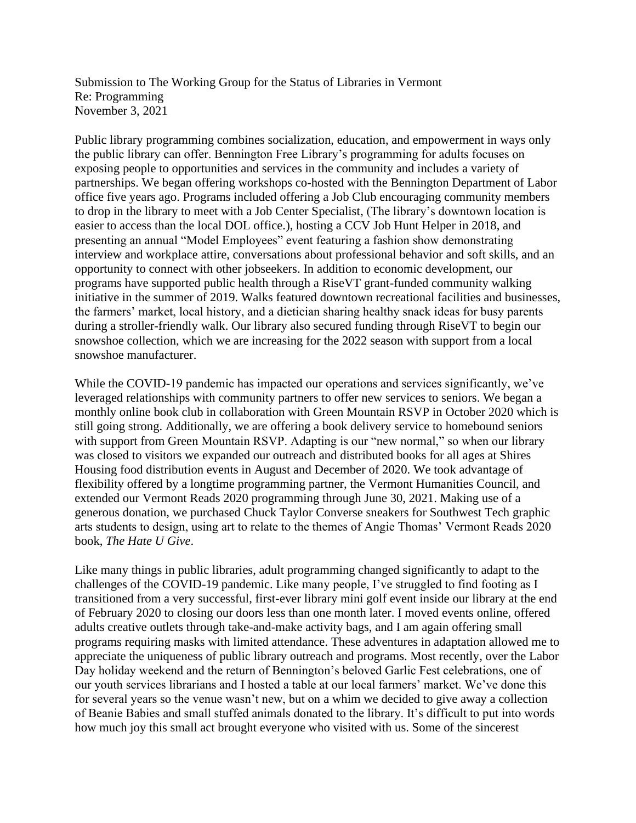Submission to The Working Group for the Status of Libraries in Vermont Re: Programming November 3, 2021

Public library programming combines socialization, education, and empowerment in ways only the public library can offer. Bennington Free Library's programming for adults focuses on exposing people to opportunities and services in the community and includes a variety of partnerships. We began offering workshops co-hosted with the Bennington Department of Labor office five years ago. Programs included offering a Job Club encouraging community members to drop in the library to meet with a Job Center Specialist, (The library's downtown location is easier to access than the local DOL office.), hosting a CCV Job Hunt Helper in 2018, and presenting an annual "Model Employees" event featuring a fashion show demonstrating interview and workplace attire, conversations about professional behavior and soft skills, and an opportunity to connect with other jobseekers. In addition to economic development, our programs have supported public health through a RiseVT grant-funded community walking initiative in the summer of 2019. Walks featured downtown recreational facilities and businesses, the farmers' market, local history, and a dietician sharing healthy snack ideas for busy parents during a stroller-friendly walk. Our library also secured funding through RiseVT to begin our snowshoe collection, which we are increasing for the 2022 season with support from a local snowshoe manufacturer.

While the COVID-19 pandemic has impacted our operations and services significantly, we've leveraged relationships with community partners to offer new services to seniors. We began a monthly online book club in collaboration with Green Mountain RSVP in October 2020 which is still going strong. Additionally, we are offering a book delivery service to homebound seniors with support from Green Mountain RSVP. Adapting is our "new normal," so when our library was closed to visitors we expanded our outreach and distributed books for all ages at Shires Housing food distribution events in August and December of 2020. We took advantage of flexibility offered by a longtime programming partner, the Vermont Humanities Council, and extended our Vermont Reads 2020 programming through June 30, 2021. Making use of a generous donation, we purchased Chuck Taylor Converse sneakers for Southwest Tech graphic arts students to design, using art to relate to the themes of Angie Thomas' Vermont Reads 2020 book, *The Hate U Give*.

Like many things in public libraries, adult programming changed significantly to adapt to the challenges of the COVID-19 pandemic. Like many people, I've struggled to find footing as I transitioned from a very successful, first-ever library mini golf event inside our library at the end of February 2020 to closing our doors less than one month later. I moved events online, offered adults creative outlets through take-and-make activity bags, and I am again offering small programs requiring masks with limited attendance. These adventures in adaptation allowed me to appreciate the uniqueness of public library outreach and programs. Most recently, over the Labor Day holiday weekend and the return of Bennington's beloved Garlic Fest celebrations, one of our youth services librarians and I hosted a table at our local farmers' market. We've done this for several years so the venue wasn't new, but on a whim we decided to give away a collection of Beanie Babies and small stuffed animals donated to the library. It's difficult to put into words how much joy this small act brought everyone who visited with us. Some of the sincerest